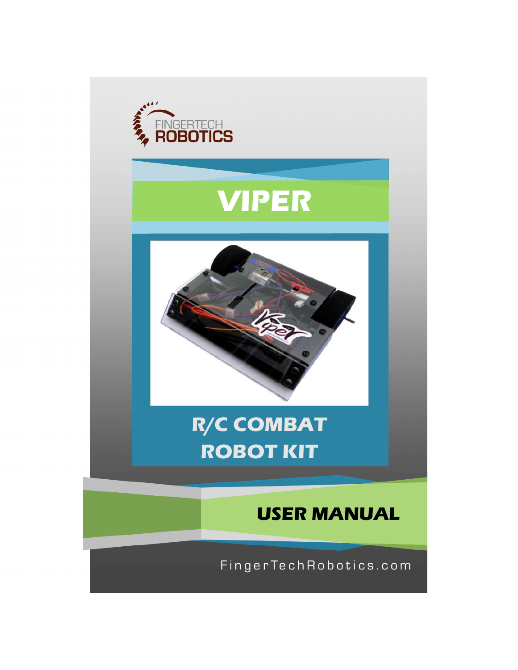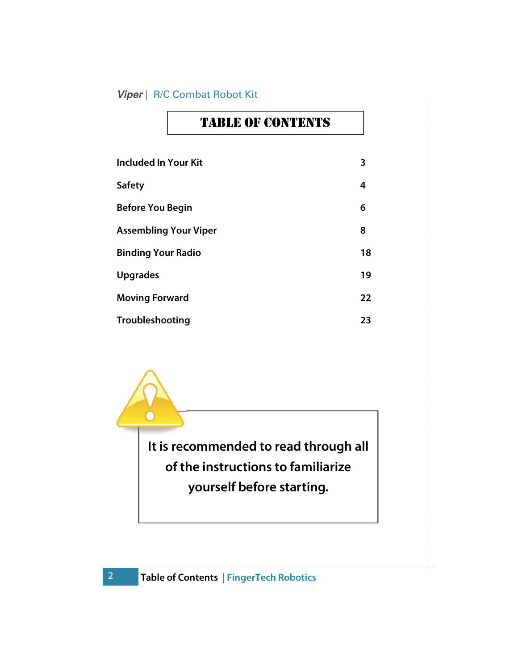| <b>Included In Your Kit</b>  | 3                 |
|------------------------------|-------------------|
| <b>Safety</b>                | 4                 |
| <b>Before You Begin</b>      | 6                 |
| <b>Assembling Your Viper</b> | 8                 |
| <b>Binding Your Radio</b>    | 18                |
| <b>Upgrades</b>              | 19                |
| <b>Moving Forward</b>        | $22 \overline{ }$ |
| Troubleshooting              | 23                |

TABLE OF CONTENTS

It is recommended to read through all of the instructions to familiarize yourself before starting.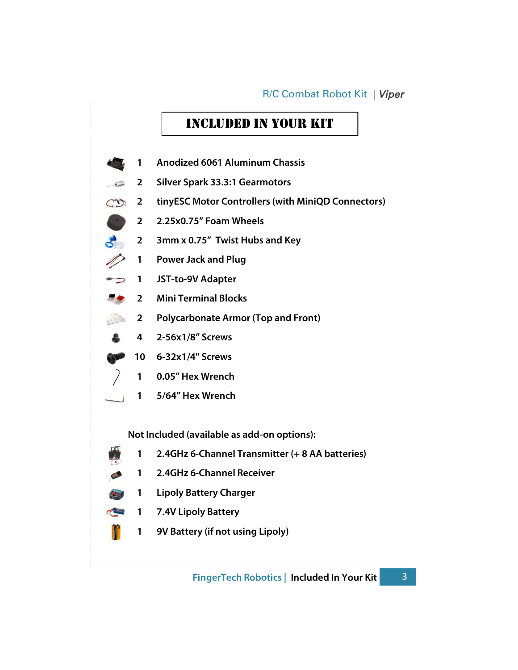### Included In Your KIt

- Anodized 6061 Aluminum Chassis
- Silver Spark 33.3:1 Gearmotors  $\sqrt{2}$
- 2 tinyESC Motor Controllers (with MiniQD Connectors)
- 2.25x0.75" Foam Wheels
- 3mm x 0.75" Twist Hubs and Key
- Power Jack and Plug
- ⇒ 1 JST-to-9V Adapter
- Mini Terminal Blocks
- **2** Polycarbonate Armor (Top and Front)
- 2-56x1/8" Screws
- 6-32x1/4" Screws
	- 0.05" Hex Wrench
- 5/64" Hex Wrench

Not Included (available as add-on options):

- 2.4GHz 6-Channel Transmitter (+ 8 AA batteries)
- 2.4GHz 6-Channel Receiver
- Lipoly Battery Charger
- 1 7.4V Lipoly Battery
	- 9V Battery (if not using Lipoly)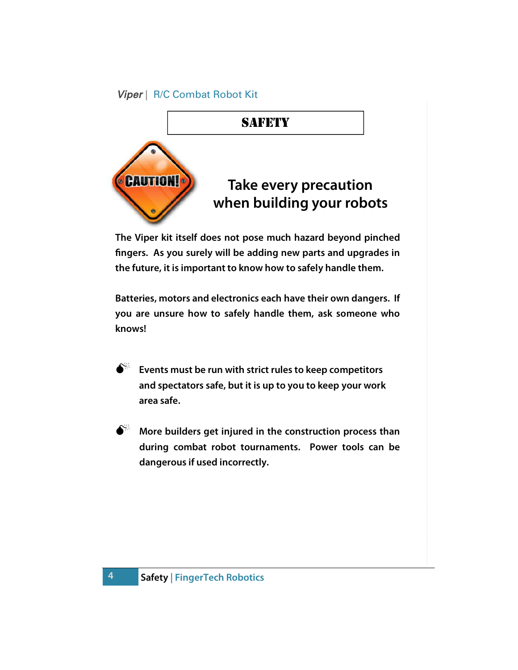

The Viper kit itself does not pose much hazard beyond pinched fingers. As you surely will be adding new parts and upgrades in the future, it is important to know how to safely handle them.

Batteries, motors and electronics each have their own dangers. If you are unsure how to safely handle them, ask someone who knows!

- Events must be run with strict rules to keep competitors and spectators safe, but it is up to you to keep your work area safe.
- $\aleph^*$  More builders get injured in the construction process than during combat robot tournaments. Power tools can be dangerous if used incorrectly.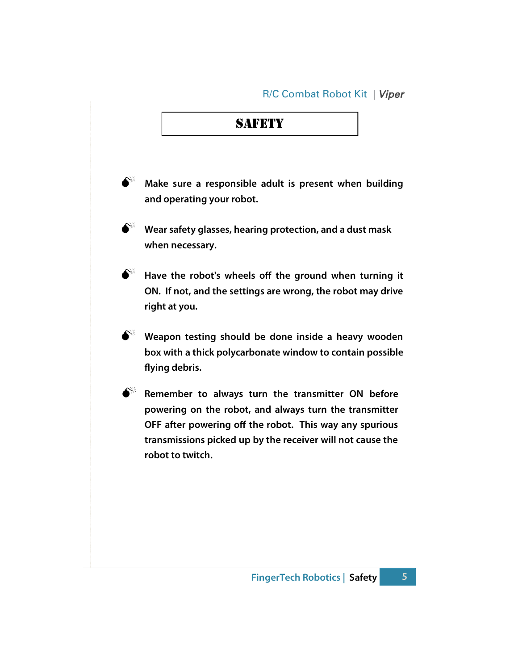### **SAFETY**

- $\mathbb{R}^*$  Make sure a responsible adult is present when building and operating your robot.
- $\delta^*$  Wear safety glasses, hearing protection, and a dust mask when necessary.
- $\bullet^*$  Have the robot's wheels off the ground when turning it ON. If not, and the settings are wrong, the robot may drive right at you.
- $\hat{\mathbf{S}}^{\mathbb{K}}$  Weapon testing should be done inside a heavy wooden box with a thick polycarbonate window to contain possible flying debris.
- $\bullet^{\%}$  Remember to always turn the transmitter ON before powering on the robot, and always turn the transmitter OFF after powering off the robot. This way any spurious transmissions picked up by the receiver will not cause the robot to twitch.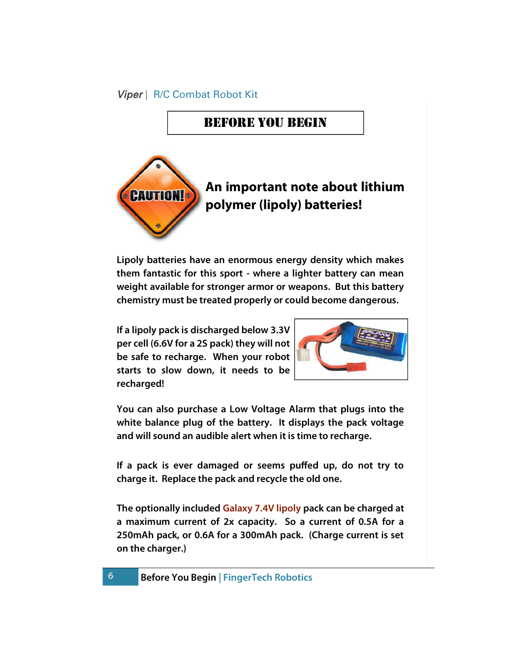## Before You Begin



Lipoly batteries have an enormous energy density which makes them fantastic for this sport - where a lighter battery can mean weight available for stronger armor or weapons. But this battery chemistry must be treated properly or could become dangerous.

If a lipoly pack is discharged below 3.3V per cell (6.6V for a 2S pack) they will not be safe to recharge. When your robot starts to slow down, it needs to be recharged!



You can also purchase a Low Voltage Alarm that plugs into the white balance plug of the battery. It displays the pack voltage and will sound an audible alert when it is time to recharge.

If a pack is ever damaged or seems puffed up, do not try to charge it. Replace the pack and recycle the old one.

The optionally included Galaxy 7.4V lipoly pack can be charged at a maximum current of 2x capacity. So a current of 0.5A for a 250mAh pack, or 0.6A for a 300mAh pack. (Charge current is set on the charger.)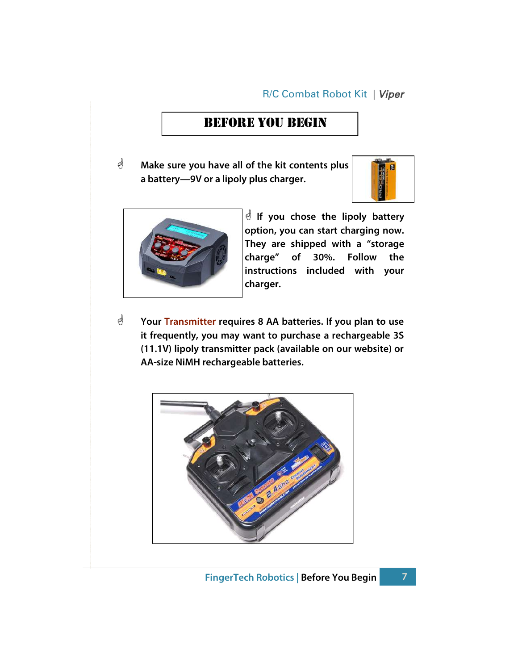### Before You Begin

 $\mathcal{O}$  Make sure you have all of the kit contents plus a battery—9V or a lipoly plus charger.





 $\stackrel{\triangle}{\otimes}$  If you chose the lipoly battery option, you can start charging now. They are shipped with a "storage charge" of 30%. Follow the instructions included with your charger.

 $\mathcal{O}$  Your Transmitter requires 8 AA batteries. If you plan to use it frequently, you may want to purchase a rechargeable 3S (11.1V) lipoly transmitter pack (available on our website) or AA-size NiMH rechargeable batteries.

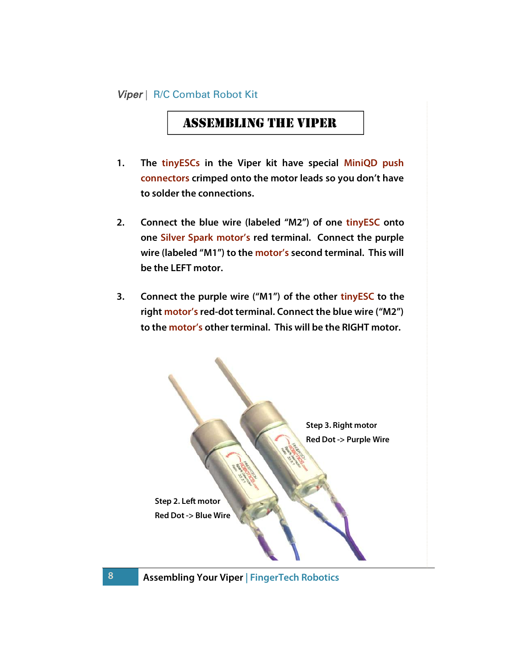### Assembling The Viper

- 1. The tinyESCs in the Viper kit have special MiniQD push connectors crimped onto the motor leads so you don't have to solder the connections.
- 2. Connect the blue wire (labeled "M2") of one tinyESC onto one Silver Spark motor's red terminal. Connect the purple wire (labeled "M1") to the motor's second terminal. This will be the LEFT motor.
- 3. Connect the purple wire ("M1") of the other tinyESC to the right motor's red-dot terminal. Connect the blue wire ("M2") to the motor's other terminal. This will be the RIGHT motor.

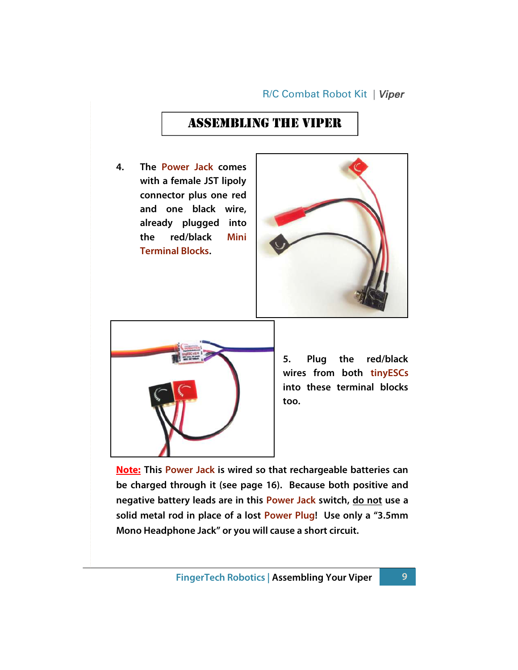## Assembling The Viper

4. The Power Jack comes with a female JST lipoly connector plus one red and one black wire, already plugged into the red/black Mini Terminal Blocks.





5. Plug the red/black wires from both tinyESCs into these terminal blocks too.

**Note:** This Power Jack is wired so that rechargeable batteries can be charged through it (see page 16). Because both positive and negative battery leads are in this Power Jack switch, do not use a solid metal rod in place of a lost Power Plug! Use only a "3.5mm Mono Headphone Jack" or you will cause a short circuit.

FingerTech Robotics | Assembling Your Viper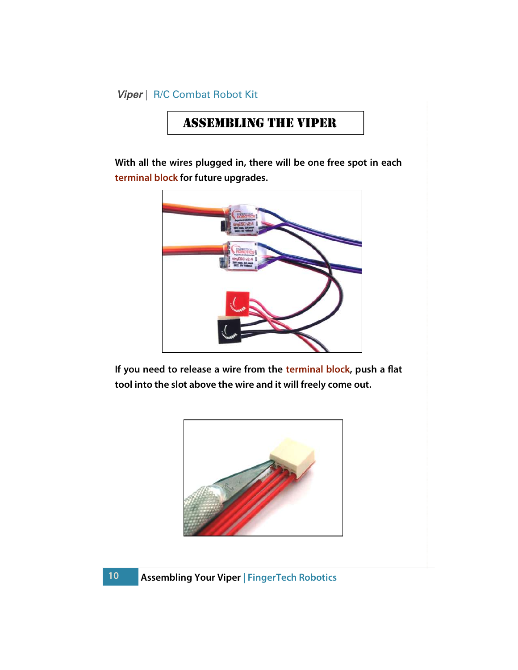# Assembling The Viper

With all the wires plugged in, there will be one free spot in each terminal block for future upgrades.



If you need to release a wire from the terminal block, push a flat tool into the slot above the wire and it will freely come out.

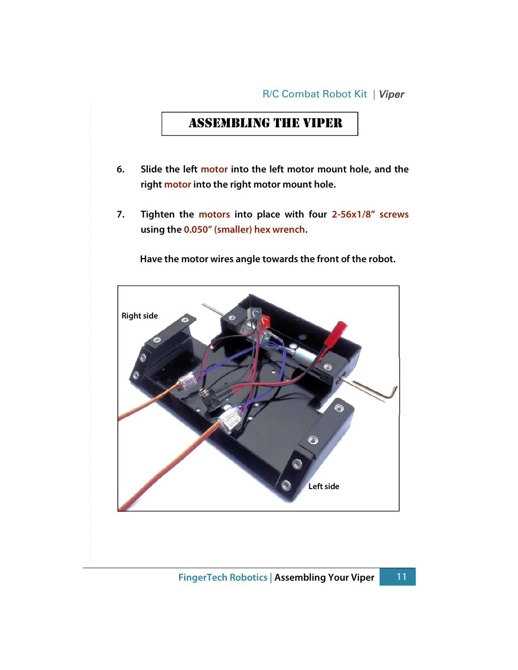### Assembling The Viper

- 6. Slide the left motor into the left motor mount hole, and the right motor into the right motor mount hole.
- 7. Tighten the motors into place with four 2-56x1/8" screws using the 0.050" (smaller) hex wrench.

Have the motor wires angle towards the front of the robot.

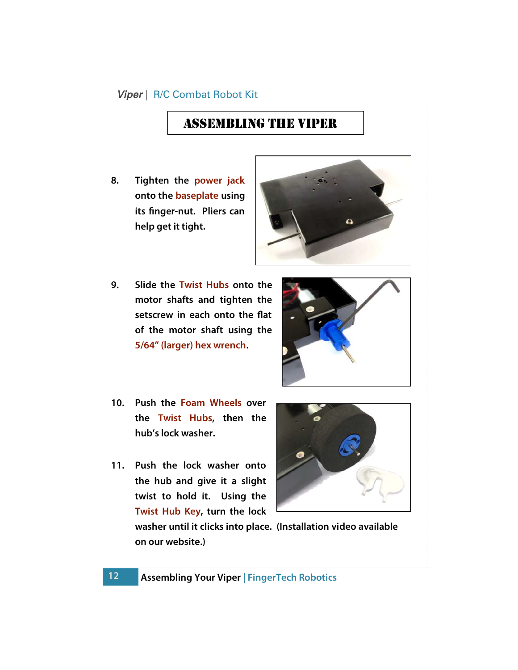# Assembling The Viper

8. Tighten the power jack onto the baseplate using its finger-nut. Pliers can help get it tight.



9. Slide the Twist Hubs onto the motor shafts and tighten the setscrew in each onto the flat of the motor shaft using the 5/64" (larger) hex wrench.



- 10. Push the Foam Wheels over the Twist Hubs, then the hub's lock washer.
- 11. Push the lock washer onto the hub and give it a slight twist to hold it. Using the Twist Hub Key, turn the lock

12



washer until it clicks into place. (Installation video available on our website.)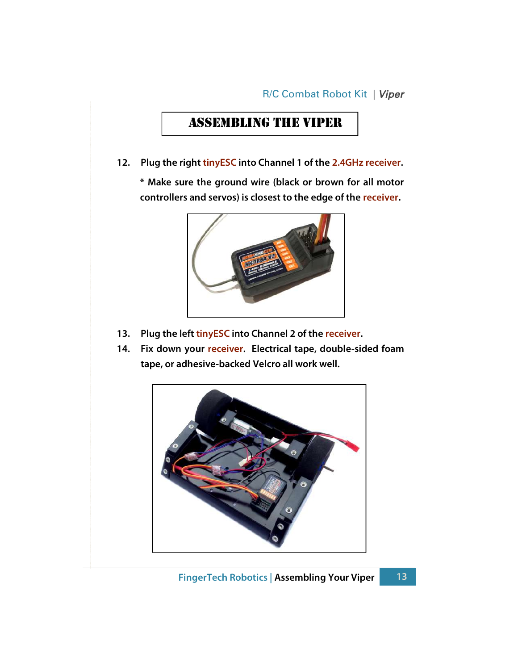# Assembling The Viper

12. Plug the right tinyESC into Channel 1 of the 2.4GHz receiver.

\* Make sure the ground wire (black or brown for all motor controllers and servos) is closest to the edge of the receiver.



- 13. Plug the left tinyESC into Channel 2 of the receiver.
- 14. Fix down your receiver. Electrical tape, double-sided foam tape, or adhesive-backed Velcro all work well.

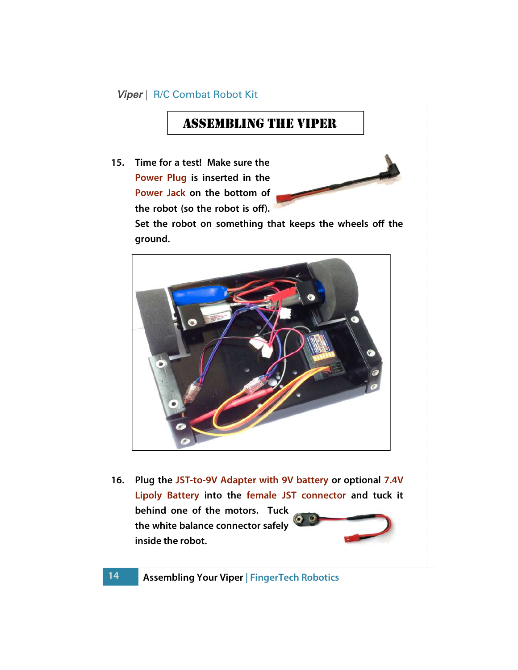### Assembling The Viper

15. Time for a test! Make sure the Power Plug is inserted in the Power Jack on the bottom of the robot (so the robot is off).



Set the robot on something that keeps the wheels off the ground.



16. Plug the JST-to-9V Adapter with 9V battery or optional 7.4V Lipoly Battery into the female JST connector and tuck it behind one of the motors. Tuck the white balance connector safely

inside the robot.

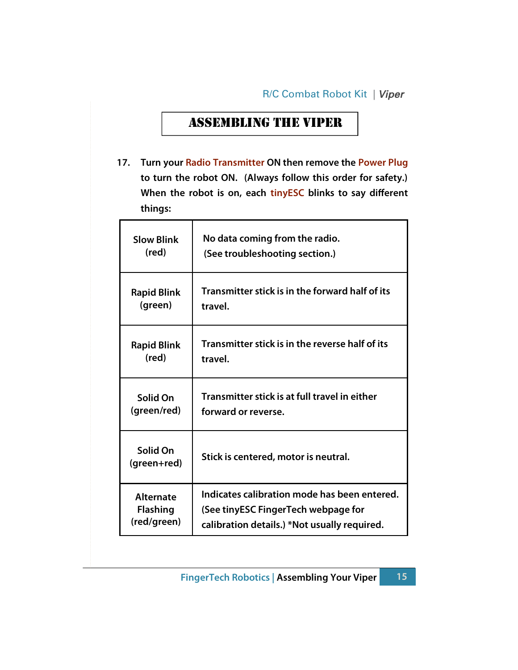# Assembling The Viper

17. Turn your Radio Transmitter ON then remove the Power Plug to turn the robot ON. (Always follow this order for safety.) When the robot is on, each tinyESC blinks to say different things:

| <b>Slow Blink</b>       | No data coming from the radio.                  |  |
|-------------------------|-------------------------------------------------|--|
| (red)                   | (See troubleshooting section.)                  |  |
| <b>Rapid Blink</b>      | Transmitter stick is in the forward half of its |  |
| (green)                 | travel.                                         |  |
| <b>Rapid Blink</b>      | Transmitter stick is in the reverse half of its |  |
| (red)                   | travel.                                         |  |
| Solid On                | Transmitter stick is at full travel in either   |  |
| (green/red)             | forward or reverse.                             |  |
| Solid On<br>(green+red) | Stick is centered, motor is neutral.            |  |
| <b>Alternate</b>        | Indicates calibration mode has been entered.    |  |
| <b>Flashing</b>         | (See tinyESC FingerTech webpage for             |  |
| (red/green)             | calibration details.) *Not usually required.    |  |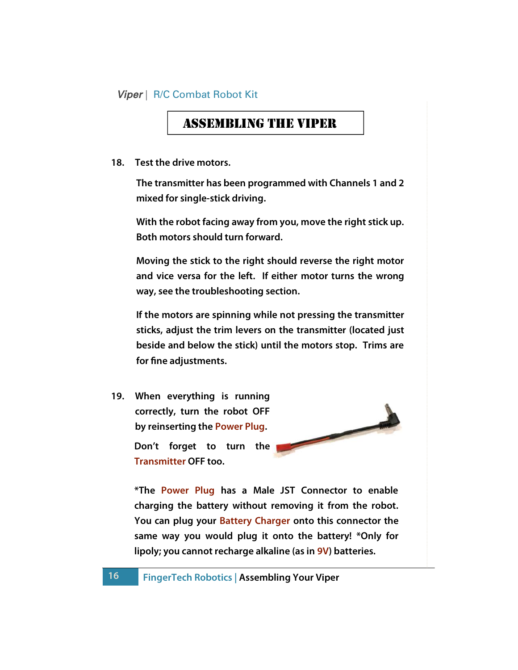### Assembling The Viper

18. Test the drive motors.

The transmitter has been programmed with Channels 1 and 2 mixed for single-stick driving.

With the robot facing away from you, move the right stick up. Both motors should turn forward.

Moving the stick to the right should reverse the right motor and vice versa for the left. If either motor turns the wrong way, see the troubleshooting section.

If the motors are spinning while not pressing the transmitter sticks, adjust the trim levers on the transmitter (located just beside and below the stick) until the motors stop. Trims are for fine adjustments.

19. When everything is running correctly, turn the robot OFF by reinserting the Power Plug. Don't forget to turn the Transmitter OFF too.



\*The Power Plug has a Male JST Connector to enable charging the battery without removing it from the robot. You can plug your Battery Charger onto this connector the same way you would plug it onto the battery! \*Only for lipoly; you cannot recharge alkaline (as in 9V) batteries.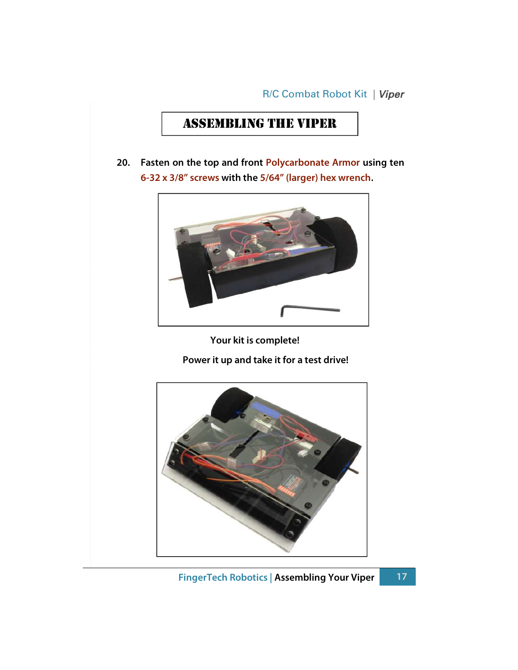# Assembling The Viper

20. Fasten on the top and front Polycarbonate Armor using ten 6-32 x 3/8" screws with the 5/64" (larger) hex wrench.



Your kit is complete!

Power it up and take it for a test drive!

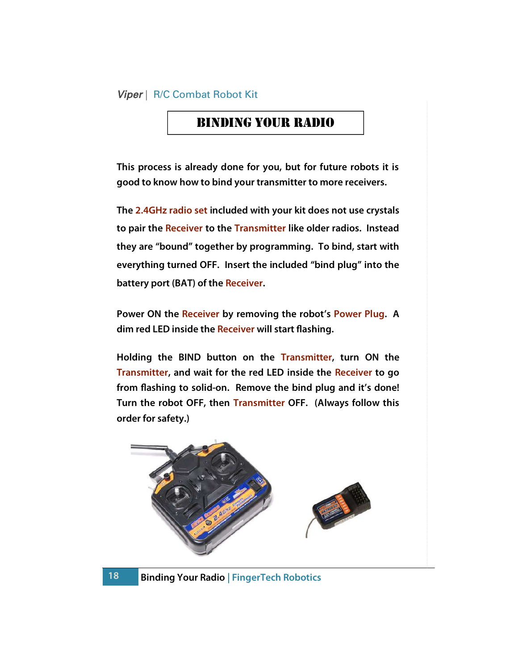### Binding Your radio

This process is already done for you, but for future robots it is good to know how to bind your transmitter to more receivers.

The 2.4GHz radio set included with your kit does not use crystals to pair the Receiver to the Transmitter like older radios. Instead they are "bound" together by programming. To bind, start with everything turned OFF. Insert the included "bind plug" into the battery port (BAT) of the Receiver.

Power ON the Receiver by removing the robot's Power Plug. A dim red LED inside the Receiver will start flashing.

Holding the BIND button on the Transmitter, turn ON the Transmitter, and wait for the red LED inside the Receiver to go from flashing to solid-on. Remove the bind plug and it's done! Turn the robot OFF, then Transmitter OFF. (Always follow this order for safety.)



Binding Your Radio | FingerTech Robotics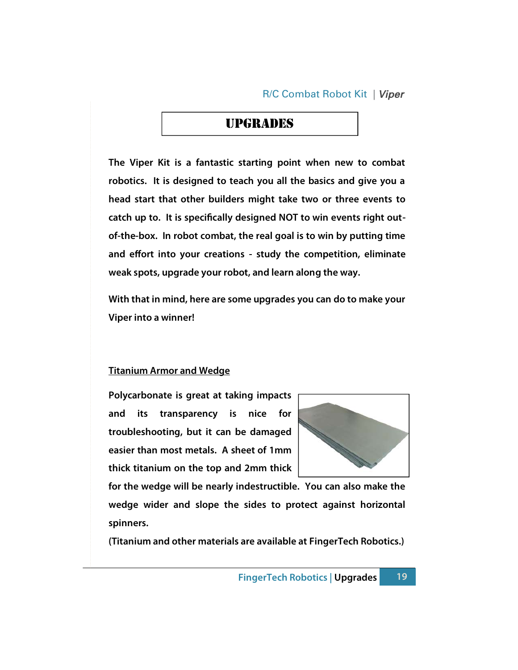### **UPGRADES**

The Viper Kit is a fantastic starting point when new to combat robotics. It is designed to teach you all the basics and give you a head start that other builders might take two or three events to catch up to. It is specifically designed NOT to win events right outof-the-box. In robot combat, the real goal is to win by putting time and effort into your creations - study the competition, eliminate weak spots, upgrade your robot, and learn along the way.

With that in mind, here are some upgrades you can do to make your Viper into a winner!

#### Titanium Armor and Wedge

Polycarbonate is great at taking impacts and its transparency is nice for troubleshooting, but it can be damaged easier than most metals. A sheet of 1mm thick titanium on the top and 2mm thick



for the wedge will be nearly indestructible. You can also make the wedge wider and slope the sides to protect against horizontal spinners.

(Titanium and other materials are available at FingerTech Robotics.)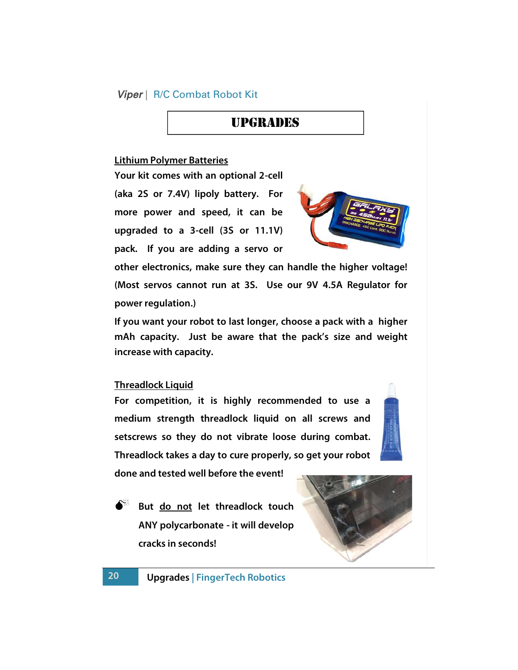### Upgrades

#### Lithium Polymer Batteries

Your kit comes with an optional 2-cell (aka 2S or 7.4V) lipoly battery. For more power and speed, it can be upgraded to a 3-cell (3S or 11.1V) pack. If you are adding a servo or



other electronics, make sure they can handle the higher voltage! (Most servos cannot run at 3S. Use our 9V 4.5A Regulator for power regulation.)

If you want your robot to last longer, choose a pack with a higher mAh capacity. Just be aware that the pack's size and weight increase with capacity.

#### Threadlock Liquid

20

For competition, it is highly recommended to use a medium strength threadlock liquid on all screws and setscrews so they do not vibrate loose during combat. Threadlock takes a day to cure properly, so get your robot

done and tested well before the event!

But do not let threadlock touch ANY polycarbonate - it will develop cracks in seconds!



#### Upgrades | FingerTech Robotics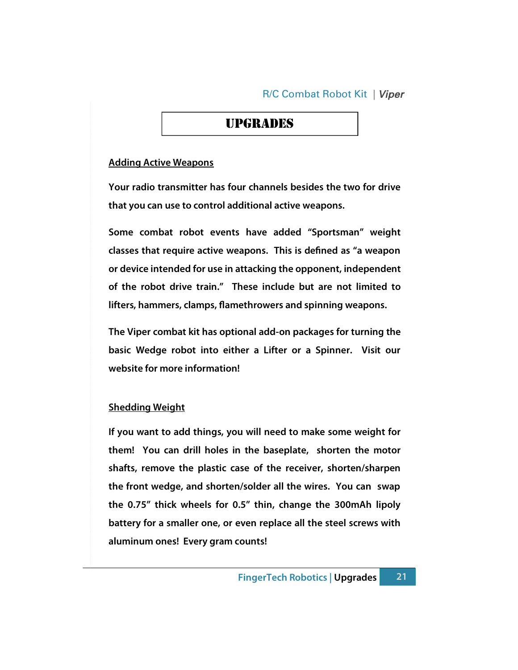### upgrades

#### Adding Active Weapons

Your radio transmitter has four channels besides the two for drive that you can use to control additional active weapons.

Some combat robot events have added "Sportsman" weight classes that require active weapons. This is defined as "a weapon or device intended for use in attacking the opponent, independent of the robot drive train." These include but are not limited to lifters, hammers, clamps, flamethrowers and spinning weapons.

The Viper combat kit has optional add-on packages for turning the basic Wedge robot into either a Lifter or a Spinner. Visit our website for more information!

#### Shedding Weight

If you want to add things, you will need to make some weight for them! You can drill holes in the baseplate, shorten the motor shafts, remove the plastic case of the receiver, shorten/sharpen the front wedge, and shorten/solder all the wires. You can swap the 0.75" thick wheels for 0.5" thin, change the 300mAh lipoly battery for a smaller one, or even replace all the steel screws with aluminum ones! Every gram counts!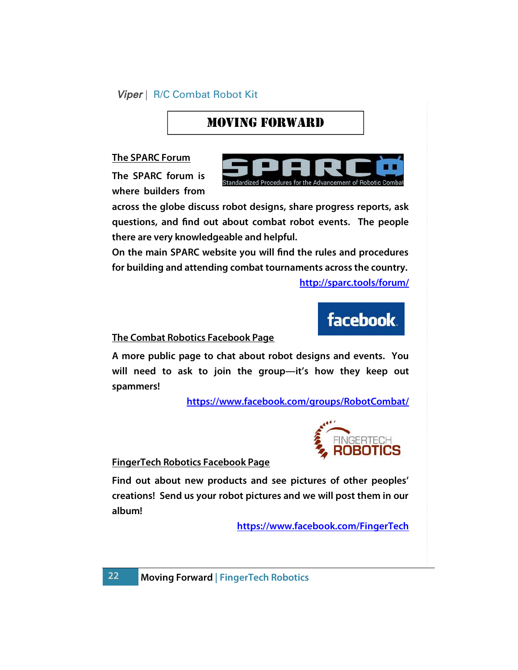# Moving Forward

The SPARC Forum

The SPARC forum is where builders from



across the globe discuss robot designs, share progress reports, ask questions, and find out about combat robot events. The people there are very knowledgeable and helpful.

On the main SPARC website you will find the rules and procedures for building and attending combat tournaments across the country.

http://sparc.tools/forum/



#### The Combat Robotics Facebook Page

A more public page to chat about robot designs and events. You will need to ask to join the group—it's how they keep out spammers!

https://www.facebook.com/groups/RobotCombat/



FingerTech Robotics Facebook Page

Find out about new products and see pictures of other peoples' creations! Send us your robot pictures and we will post them in our album!

https://www.facebook.com/FingerTech

Moving Forward | FingerTech Robotics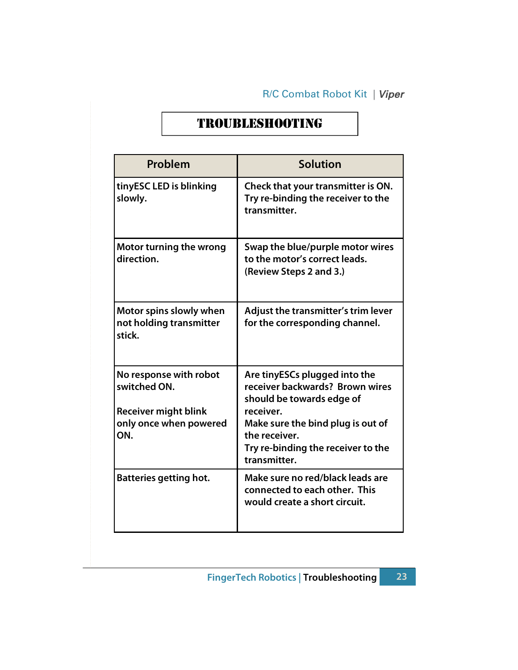# TroubleshooTing

| Problem                                                      | <b>Solution</b>                                                                                                       |
|--------------------------------------------------------------|-----------------------------------------------------------------------------------------------------------------------|
| tinyESC LED is blinking<br>slowly.                           | Check that your transmitter is ON.<br>Try re-binding the receiver to the<br>transmitter.                              |
| Motor turning the wrong<br>direction.                        | Swap the blue/purple motor wires<br>to the motor's correct leads.<br>(Review Steps 2 and 3.)                          |
| Motor spins slowly when<br>not holding transmitter<br>stick. | Adjust the transmitter's trim lever<br>for the corresponding channel.                                                 |
| No response with robot<br>switched ON.                       | Are tinyESCs plugged into the<br>receiver backwards? Brown wires<br>should be towards edge of                         |
| <b>Receiver might blink</b><br>only once when powered<br>ON. | receiver.<br>Make sure the bind plug is out of<br>the receiver.<br>Try re-binding the receiver to the<br>transmitter. |
| <b>Batteries getting hot.</b>                                | Make sure no red/black leads are<br>connected to each other. This<br>would create a short circuit.                    |